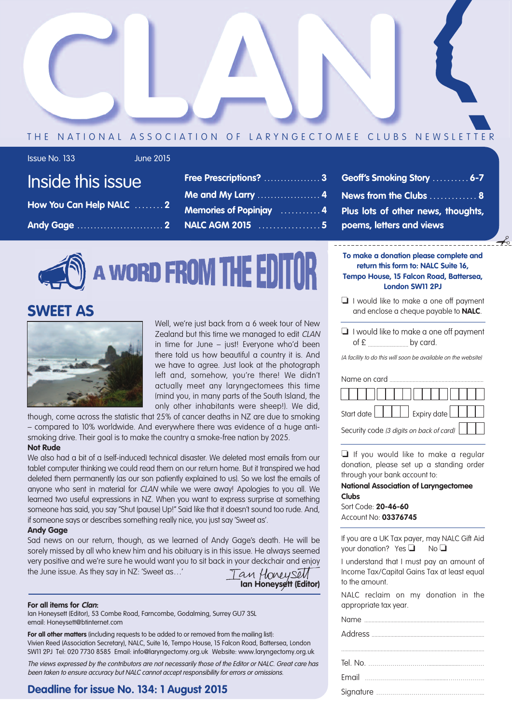

### THE NATIONAL ASSOCIATION OF LARYNGECTOMEE CLUBS NEWSLETTER

### Issue No. 133 June 2015

| טראט מו ווי אמומו וו    |  |
|-------------------------|--|
| How You Can Help NALC 2 |  |
|                         |  |

Inside this issue

| <b>Free Prescriptions?</b> 3               |  |
|--------------------------------------------|--|
| Me and My Larry  4                         |  |
| <b>Memories of Popiniay Allemanuel Act</b> |  |
| <b>NALC AGM 2015</b> 5                     |  |

**A WORD FROM THE EDITOR** 

### **SWEET AS**



Well, we're just back from a 6 week tour of New Zealand but this time we managed to edit CLAN in time for June – just! Everyone who'd been there told us how beautiful a country it is. And we have to agree. Just look at the photograph left and, somehow, you're there! We didn't actually meet any laryngectomees this time (mind you, in many parts of the South Island, the only other inhabitants were sheep!). We did,

though, come across the statistic that 25% of cancer deaths in NZ are due to smoking – compared to 10% worldwide. And everywhere there was evidence of a huge antismoking drive. Their goal is to make the country a smoke-free nation by 2025.

#### **Not Rude**

We also had a bit of a (self-induced) technical disaster. We deleted most emails from our tablet computer thinking we could read them on our return home. But it transpired we had deleted them permanently (as our son patiently explained to us). So we lost the emails of anyone who sent in material for CLAN while we were away! Apologies to you all. We learned two useful expressions in NZ. When you want to express surprise at something someone has said, you say "Shut (pause) Up!" Said like that it doesn't sound too rude. And, if someone says or describes something really nice, you just say 'Sweet as'.

#### **Andy Gage**

Sad news on our return, though, as we learned of Andy Gage's death. He will be sorely missed by all who knew him and his obituary is in this issue. He always seemed very positive and we're sure he would want you to sit back in your deckchair and enjoy the June issue. As they say in NZ: 'Sweet as…'

**Ian Honeysett (Editor)**

#### **For all items for Clan:**

Ian Honeysett (Editor), 53 Combe Road, Farncombe, Godalming, Surrey GU7 3SL email: Honeysett@btinternet.com

**For all other matters** (including requests to be added to or removed from the mailing list): Vivien Reed (Association Secretary), NALC, Suite 16, Tempo House, 15 Falcon Road, Battersea, London SW11 2PJ Tel: 020 7730 8585 Email: info@laryngectomy.org.uk Website: www.laryngectomy.org.uk

The views expressed by the contributors are not necessarily those of the Editor or NALC. Great care has been taken to ensure accuracy but NALC cannot accept responsibility for errors or omissions.

### **Deadline for issue No. 134: 1 August 2015**

| Geoff's Smoking Story  6-7         |
|------------------------------------|
| News from the Clubs  8             |
| Plus lots of other news, thoughts, |
| poems, letters and views           |

#### **To make a donation please complete and return this form to: NALC Suite 16, Tempo House, 15 Falcon Road, Battersea, London SW11 2PJ**

✃

- ❏ I would like to make a one off payment and enclose a cheque payable to **NALC**.
- ❏ I would like to make a one off payment  $of  $\epsilon$$  by card.

(A facility to do this will soon be available on the website)

| , , , , , , , , , , , , , , , , , ,      |
|------------------------------------------|
| Start date Ellen Expiry date             |
| Security code (3 digits on back of card) |

❏ If you would like to make a regular donation, please set up a standing order through your bank account to:

#### **National Association of Laryngectomee Clubs**

Sort Code: **20-46-60** Account No: **03376745**

If you are a UK Tax payer, may NALC Gift Aid your donation? Yes **□** No **□** 

I understand that I must pay an amount of Income Tax/Capital Gains Tax at least equal to the amount.

NALC reclaim on my donation in the appropriate tax year.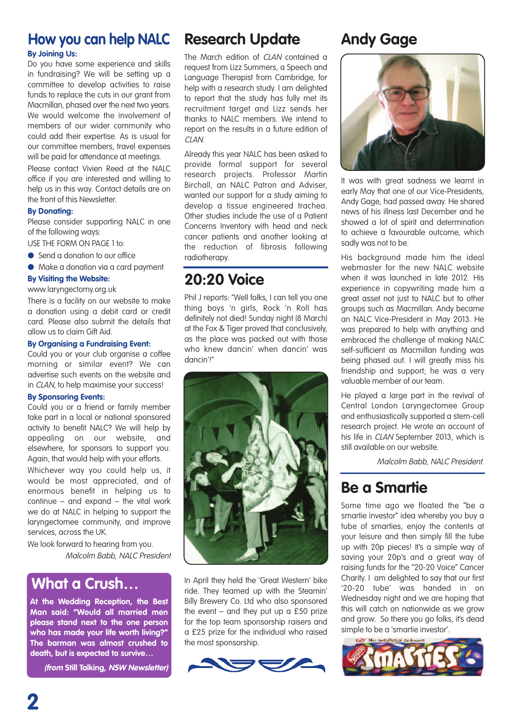### **How you can help NALC**

#### **By Joining Us:**

Do you have some experience and skills in fundraising? We will be setting up a committee to develop activities to raise funds to replace the cuts in our grant from Macmillan, phased over the next two years. We would welcome the involvement of members of our wider community who could add their expertise. As is usual for our committee members, travel expenses will be paid for attendance at meetings.

Please contact Vivien Reed at the NALC office if you are interested and willing to help us in this way. Contact details are on the front of this Newsletter.

#### **By Donating:**

Please consider supporting NALC in one of the following ways:

USE THE FORM ON PAGE 1 to:

- Send a donation to our office
- Make a donation via a card payment

#### **By Visiting the Website:**

www.laryngectomy.org.uk

There is a facility on our website to make a donation using a debit card or credit card. Please also submit the details that allow us to claim Gift Aid.

#### **By Organising a Fundraising Event:**

Could you or your club organise a coffee morning or similar event? We can advertise such events on the website and in CLAN, to help maximise your success!

#### **By Sponsoring Events:**

Could you or a friend or family member take part in a local or national sponsored activity to benefit NALC? We will help by appealing on our website, and elsewhere, for sponsors to support you. Again, that would help with your efforts.

Whichever way you could help us, it would be most appreciated, and of enormous benefit in helping us to continue – and expand – the vital work we do at NALC in helping to support the laryngectomee community, and improve services, across the UK.

We look forward to hearing from you. Malcolm Babb, NALC President

### **What a Crush…**

**At the Wedding Reception, the Best Man said: "Would all married men please stand next to the one person who has made your life worth living?" The barman was almost crushed to death, but is expected to survive…**

**(from Still Talking, NSW Newsletter)**

### **Research Update**

The March edition of CLAN contained a request from Lizz Summers, a Speech and Language Therapist from Cambridge, for help with a research study. I am delighted to report that the study has fully met its recruitment target and Lizz sends her thanks to NALC members. We intend to report on the results in a future edition of  $CIAN$ 

Already this year NALC has been asked to provide formal support for several research projects. Professor Martin Birchall, an NALC Patron and Adviser, wanted our support for a study aiming to develop a tissue engineered trachea. Other studies include the use of a Patient Concerns Inventory with head and neck cancer patients and another looking at the reduction of fibrosis following radiotherapy.

### **20:20 Voice**

Phil J reports: "Well folks, I can tell you one thing boys 'n girls, Rock 'n Roll has definitely not died! Sunday night (8 March) at the Fox & Tiger proved that conclusively, as the place was packed out with those who knew dancin' when dancin' was dancin'!"



In April they held the 'Great Western' bike ride. They teamed up with the Steamin' Billy Brewery Co. Ltd who also sponsored the event  $-$  and they put up a £50 prize for the top team sponsorship raisers and a £25 prize for the individual who raised the most sponsorship.



### **Andy Gage**



It was with great sadness we learnt in early May that one of our Vice-Presidents, Andy Gage, had passed away. He shared news of his illness last December and he showed a lot of spirit and determination to achieve a favourable outcome, which sadly was not to be.

His background made him the ideal webmaster for the new NALC website when it was launched in late 2012. His experience in copywriting made him a great asset not just to NALC but to other groups such as Macmillan. Andy became an NALC Vice-President in May 2013. He was prepared to help with anything and embraced the challenge of making NALC self-sufficient as Macmillan funding was being phased out. I will greatly miss his friendship and support; he was a very valuable member of our team.

He played a large part in the revival of Central London Laryngectomee Group and enthusiastically supported a stem-cell research project. He wrote an account of his life in CLAN September 2013, which is still available on our website.

Malcolm Babb, NALC President.

### **Be a Smartie**

Some time ago we floated the "be a smartie investor" idea whereby you buy a tube of smarties, enjoy the contents at your leisure and then simply fill the tube up with 20p pieces! It's a simple way of saving your 20p's and a great way of raising funds for the "20-20 Voice" Cancer Charity. I am delighted to say that our first '20-20 tube' was handed in on Wednesday night and we are hoping that this will catch on nationwide as we grow and grow. So there you go folks, it's dead simple to be a 'smartie investor'.

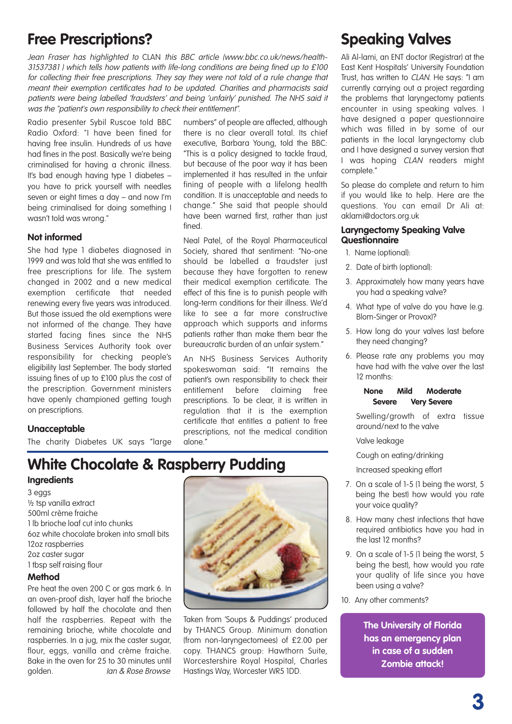### **Free Prescriptions?**

Jean Fraser has highlighted to CLAN this BBC article (www.bbc.co.uk/news/health-31537381 ) which tells how patients with life-long conditions are being fined up to £100 for collecting their free prescriptions. They say they were not told of <sup>a</sup> rule change that meant their exemption certificates had to be updated. Charities and pharmacists said patients were being labelled 'fraudsters' and being 'unfairly' punished. The NHS said it was the "patient's own responsibility to check their entitlement".

fined.

numbers" of people are affected, although there is no clear overall total. Its chief executive, Barbara Young, told the BBC: "This is a policy designed to tackle fraud, but because of the poor way it has been implemented it has resulted in the unfair fining of people with a lifelong health condition. It is unacceptable and needs to change." She said that people should have been warned first, rather than just

Neal Patel, of the Royal Pharmaceutical Society, shared that sentiment: "No-one should be labelled a fraudster just because they have forgotten to renew their medical exemption certificate. The effect of this fine is to punish people with long-term conditions for their illness. We'd like to see a far more constructive approach which supports and informs patients rather than make them bear the bureaucratic burden of an unfair system." An NHS Business Services Authority spokeswoman said: "It remains the patient's own responsibility to check their entitlement before claiming free prescriptions. To be clear, it is written in regulation that it is the exemption certificate that entitles a patient to free prescriptions, not the medical condition

Radio presenter Sybil Ruscoe told BBC Radio Oxford: "I have been fined for having free insulin. Hundreds of us have had fines in the post. Basically we're being criminalised for having a chronic illness. It's bad enough having type 1 diabetes – you have to prick yourself with needles seven or eight times a day – and now I'm being criminalised for doing something I wasn't told was wrong."

#### **Not informed**

She had type 1 diabetes diagnosed in 1999 and was told that she was entitled to free prescriptions for life. The system changed in 2002 and a new medical exemption certificate that needed renewing every five years was introduced. But those issued the old exemptions were not informed of the change. They have started facing fines since the NHS Business Services Authority took over responsibility for checking people's eligibility last September. The body started issuing fines of up to £100 plus the cost of the prescription. Government ministers have openly championed getting tough on prescriptions.

### **Unacceptable**

The charity Diabetes UK says "large

### **White Chocolate & Raspberry Pudding**

alone."

#### **Ingredients**

3 eggs ½ tsp vanilla extract 500ml crème fraiche 1 lb brioche loaf cut into chunks 6oz white chocolate broken into small bits 12oz raspberries 2oz caster sugar 1 tbsp self raising flour

#### **Method**

Pre heat the oven 200 C or gas mark 6. In an oven-proof dish, layer half the brioche followed by half the chocolate and then half the raspberries. Repeat with the remaining brioche, white chocolate and raspberries. In a jug, mix the caster sugar, flour, eggs, vanilla and crème fraiche. Bake in the oven for 25 to 30 minutes until golden. Ian & Rose Browse



Taken from 'Soups & Puddings' produced by THANCS Group. Minimum donation (from non-laryngectomees) of £2.00 per copy. THANCS group: Hawthorn Suite, Worcestershire Royal Hospital, Charles Hastings Way, Worcester WR5 1DD.

### **Speaking Valves**

Ali Al-lami, an ENT doctor (Registrar) at the East Kent Hospitals' University Foundation Trust, has written to CLAN. He says: "I am currently carrying out a project regarding the problems that laryngectomy patients encounter in using speaking valves. I have designed a paper questionnaire which was filled in by some of our patients in the local laryngectomy club and I have designed a survey version that I was hoping CLAN readers might complete."

So please do complete and return to him if you would like to help. Here are the questions. You can email Dr Ali at: aklami@doctors.org.uk

#### **Laryngectomy Speaking Valve Questionnaire**

- 1. Name (optional):
- 2. Date of birth (optional):
- 3. Approximately how many years have you had a speaking valve?
- 4. What type of valve do you have (e.g. Blom-Singer or Provox)?
- 5. How long do your valves last before they need changing?
- 6. Please rate any problems you may have had with the valve over the last 12 months:

#### **None Mild Moderate Severe Very Severe**

Swelling/growth of extra tissue around/next to the valve

Valve leakage

6. Cough on eating/drinking

6. Increased speaking effort

- 7. On a scale of 1-5 (1 being the worst, 5 being the best) how would you rate your voice quality?
- 8. How many chest infections that have required antibiotics have you had in the last 12 months?
- 9. On a scale of 1-5 (1 being the worst, 5 being the best), how would you rate your quality of life since you have been using a valve?
- 10. Any other comments?

**The University of Florida has an emergency plan in case of a sudden Zombie attack!**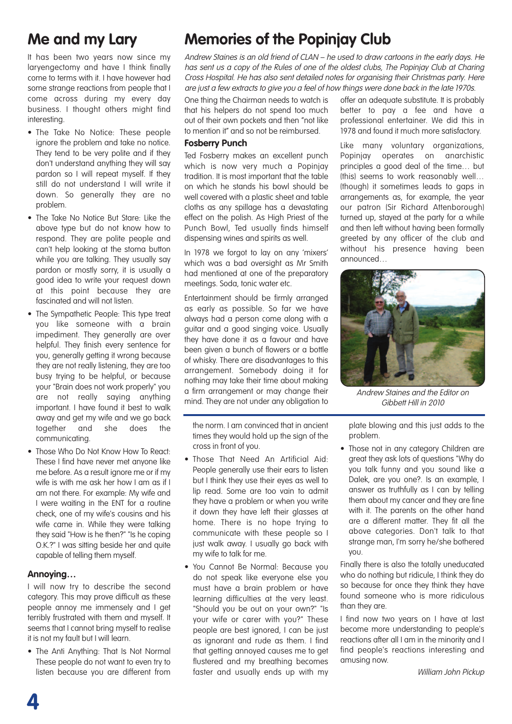### **Me and my Lary**

It has been two years now since my laryengectomy and have I think finally come to terms with it. I have however had some strange reactions from people that I come across during my every day business. I thought others might find interesting.

- The Take No Notice: These people ignore the problem and take no notice. They tend to be very polite and if they don't understand anything they will say pardon so I will repeat myself. If they still do not understand I will write it down. So generally they are no problem.
- The Take No Notice But Stare: Like the above type but do not know how to respond. They are polite people and can't help looking at the stoma button while you are talking. They usually say pardon or mostly sorry, it is usually a good idea to write your request down at this point because they are fascinated and will not listen.
- The Sympathetic People: This type treat you like someone with a brain impediment. They generally are over helpful. They finish every sentence for you, generally getting it wrong because they are not really listening, they are too busy trying to be helpful, or because your "Brain does not work properly" you are not really saying anything important. I have found it best to walk away and get my wife and we go back together and she does the communicating.
- Those Who Do Not Know How To React: These I find have never met anyone like me before. As a result ignore me or if my wife is with me ask her how I am as if I am not there. For example: My wife and I were waiting in the ENT for a routine check, one of my wife's cousins and his wife came in. While they were talking they said "How is he then?" "Is he coping O.K.?" I was sitting beside her and quite capable of telling them myself.

#### **Annoying…**

I will now try to describe the second category. This may prove difficult as these people annoy me immensely and I get terribly frustrated with them and myself. It seems that I cannot bring myself to realise it is not my fault but I will learn.

• The Anti Anything: That Is Not Normal These people do not want to even try to listen because you are different from

### **Memories of the Popinjay Club**

Andrew Staines is an old friend of CLAN – he used to draw cartoons in the early days. He has sent us <sup>a</sup> copy of the Rules of one of the oldest clubs, The Popinjay Club at Charing Cross Hospital. He has also sent detailed notes for organising their Christmas party. Here are just <sup>a</sup> few extracts to give you <sup>a</sup> feel of how things were done back in the late 1970s.

One thing the Chairman needs to watch is that his helpers do not spend too much out of their own pockets and then "not like to mention it" and so not be reimbursed.

#### **Fosberry Punch**

Ted Fosberry makes an excellent punch which is now very much a Popinjay tradition. It is most important that the table on which he stands his bowl should be well covered with a plastic sheet and table cloths as any spillage has a devastating effect on the polish. As High Priest of the Punch Bowl, Ted usually finds himself dispensing wines and spirits as well.

In 1978 we forgot to lay on any 'mixers' which was a bad oversight as Mr Smith had mentioned at one of the preparatory meetings. Soda, tonic water etc.

Entertainment should be firmly arranged as early as possible. So far we have always had a person come along with a guitar and a good singing voice. Usually they have done it as a favour and have been given a bunch of flowers or a bottle of whisky. There are disadvantages to this arrangement. Somebody doing it for nothing may take their time about making a firm arrangement or may change their mind. They are not under any obligation to

the norm. I am convinced that in ancient times they would hold up the sign of the cross in front of you.

- Those That Need An Artificial Aid: People generally use their ears to listen but I think they use their eyes as well to lip read. Some are too vain to admit they have a problem or when you write it down they have left their glasses at home. There is no hope trying to communicate with these people so I just walk away. I usually go back with my wife to talk for me.
- You Cannot Be Normal: Because you do not speak like everyone else you must have a brain problem or have learning difficulties at the very least. "Should you be out on your own?" "Is your wife or carer with you?" These people are best ignored, I can be just as ignorant and rude as them. I find that getting annoyed causes me to get flustered and my breathing becomes faster and usually ends up with my

offer an adequate substitute. It is probably better to pay a fee and have a professional entertainer. We did this in 1978 and found it much more satisfactory.

Like many voluntary organizations, Popinjay operates on anarchistic principles a good deal of the time… but (this) seems to work reasonably well… (though) it sometimes leads to gaps in arrangements as, for example, the year our patron (Sir Richard Attenborough) turned up, stayed at the party for a while and then left without having been formally greeted by any officer of the club and without his presence having been announced…



Andrew Staines and the Editor on Gibbett Hill in 2010

plate blowing and this just adds to the problem.

• Those not in any category Children are great they ask lots of questions "Why do you talk funny and you sound like a Dalek, are you one?. Is an example, I answer as truthfully as I can by telling them about my cancer and they are fine with it. The parents on the other hand are a different matter. They fit all the above categories. Don't talk to that strange man, I'm sorry he/she bothered you.

Finally there is also the totally uneducated who do nothing but ridicule, I think they do so because for once they think they have found someone who is more ridiculous than they are.

I find now two years on I have at last become more understanding to people's reactions after all I am in the minority and I find people's reactions interesting and amusing now.

William John Pickup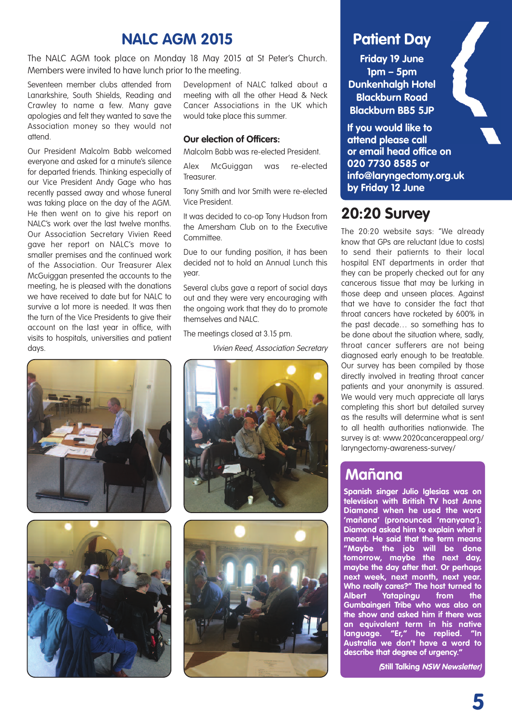### **NALC AGM 2015**

The NALC AGM took place on Monday 18 May 2015 at St Peter's Church. Members were invited to have lunch prior to the meeting.

Seventeen member clubs attended from Lanarkshire, South Shields, Reading and Crawley to name a few. Many gave apologies and felt they wanted to save the Association money so they would not attend.

Our President Malcolm Babb welcomed everyone and asked for a minute's silence for departed friends. Thinking especially of our Vice President Andy Gage who has recently passed away and whose funeral was taking place on the day of the AGM. He then went on to give his report on NALC's work over the last twelve months. Our Association Secretary Vivien Reed gave her report on NALC's move to smaller premises and the continued work of the Association. Our Treasurer Alex McGuiggan presented the accounts to the meeting, he is pleased with the donations we have received to date but for NALC to survive a lot more is needed. It was then the turn of the Vice Presidents to give their account on the last year in office, with visits to hospitals, universities and patient days.

Development of NALC talked about a meeting with all the other Head & Neck Cancer Associations in the UK which would take place this summer.

#### **Our election of Officers:**

Malcolm Babb was re-elected President.

Alex McGuiggan was re-elected Treasurer.

Tony Smith and Ivor Smith were re-elected Vice President.

It was decided to co-op Tony Hudson from the Amersham Club on to the Executive Committee.

Due to our funding position, it has been decided not to hold an Annual Lunch this year.

Several clubs gave a report of social days out and they were very encouraging with the ongoing work that they do to promote themselves and NALC.

The meetings closed at 3.15 pm.

Vivien Reed, Association Secretary









### **Patient Day**

**Friday 19 June 1pm – 5pm Dunkenhalgh Hotel Blackburn Road Blackburn BB5 5JP**

**If you would like to attend please call or email head office on 020 7730 8585 or info@laryngectomy.org.uk by Friday 12 June**

### **20:20 Survey**

The 20:20 website says: "We already know that GPs are reluctant (due to costs) to send their patiernts to their local hospital ENT departments in order that they can be properly checked out for any cancerous tissue that may be lurking in those deep and unseen places. Against that we have to consider the fact that throat cancers have rocketed by 600% in the past decade… so something has to be done about the situation where, sadly, throat cancer sufferers are not being diagnosed early enough to be treatable. Our survey has been compiled by those directly involved in treating throat cancer patients and your anonymity is assured. We would very much appreciate all larys completing this short but detailed survey as the results will determine what is sent to all health authorities nationwide. The survey is at: www.2020cancerappeal.org/ laryngectomy-awareness-survey/

### **Mañana**

**Spanish singer Julio Iglesias was on television with British TV host Anne Diamond when he used the word 'mañana' (pronounced 'manyana'). Diamond asked him to explain what it meant. He said that the term means "Maybe the job will be done tomorrow, maybe the next day, maybe the day after that. Or perhaps next week, next month, next year. Who really cares?" The host turned to Albert Yatapingu from Gumbaingeri Tribe who was also on the show and asked him if there was an equivalent term in his native language. "Er," he replied. "In Australia we don't have a word to describe that degree of urgency."**

**(Still Talking NSW Newsletter)**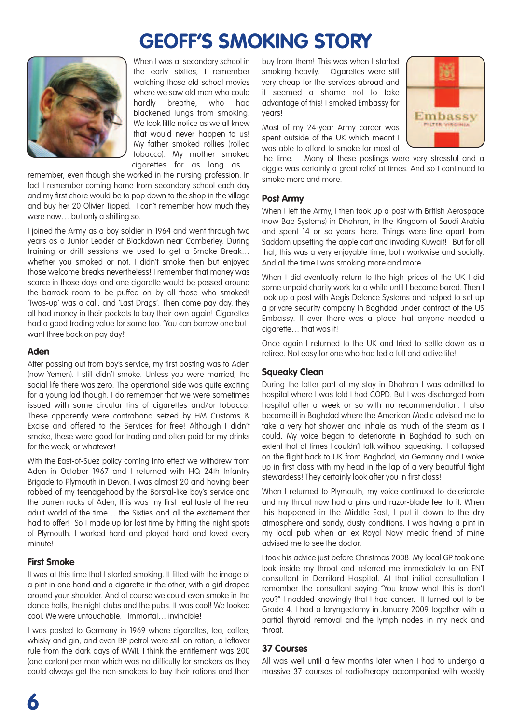## **GEOFF'S SMOKING STORY**



When I was at secondary school in the early sixties, I remember watching those old school movies where we saw old men who could hardly breathe, who had blackened lungs from smoking. We took little notice as we all knew that would never happen to us! My father smoked rollies (rolled tobacco). My mother smoked cigarettes for as long as I

remember, even though she worked in the nursing profession. In fact I remember coming home from secondary school each day and my first chore would be to pop down to the shop in the village and buy her 20 Olivier Tipped. I can't remember how much they were now… but only a shilling so.

I joined the Army as a boy soldier in 1964 and went through two years as a Junior Leader at Blackdown near Camberley. During training or drill sessions we used to get a Smoke Break… whether you smoked or not. I didn't smoke then but enjoyed those welcome breaks nevertheless! I remember that money was scarce in those days and one cigarette would be passed around the barrack room to be puffed on by all those who smoked! 'Twos-up' was a call, and 'Last Drags'. Then come pay day, they all had money in their pockets to buy their own again! Cigarettes had a good trading value for some too. 'You can borrow one but I want three back on pay day!'

#### **Aden**

After passing out from boy's service, my first posting was to Aden (now Yemen). I still didn't smoke. Unless you were married, the social life there was zero. The operational side was quite exciting for a young lad though. I do remember that we were sometimes issued with some circular tins of cigarettes and/or tobacco. These apparently were contraband seized by HM Customs & Excise and offered to the Services for free! Although I didn't smoke, these were good for trading and often paid for my drinks for the week, or whatever!

With the East-of-Suez policy coming into effect we withdrew from Aden in October 1967 and I returned with HQ 24th Infantry Brigade to Plymouth in Devon. I was almost 20 and having been robbed of my teenagehood by the Borstal-like boy's service and the barren rocks of Aden, this was my first real taste of the real adult world of the time… the Sixties and all the excitement that had to offer! So I made up for lost time by hitting the night spots of Plymouth. I worked hard and played hard and loved every minute!

#### **First Smoke**

It was at this time that I started smoking. It fitted with the image of a pint in one hand and a cigarette in the other, with a girl draped around your shoulder. And of course we could even smoke in the dance halls, the night clubs and the pubs. It was cool! We looked cool. We were untouchable. Immortal… invincible!

I was posted to Germany in 1969 where cigarettes, tea, coffee, whisky and gin, and even BP petrol were still on ration, a leftover rule from the dark days of WWII. I think the entitlement was 200 (one carton) per man which was no difficulty for smokers as they could always get the non-smokers to buy their rations and then buy from them! This was when I started smoking heavily. Cigarettes were still very cheap for the services abroad and it seemed a shame not to take advantage of this! I smoked Embassy for years!

Most of my 24-year Army career was spent outside of the UK which meant I was able to afford to smoke for most of



the time. Many of these postings were very stressful and a ciggie was certainly a great relief at times. And so I continued to smoke more and more.

#### **Post Army**

When I left the Army, I then took up a post with British Aerospace (now Bae Systems) in Dhahran, in the Kingdom of Saudi Arabia and spent 14 or so years there. Things were fine apart from Saddam upsetting the apple cart and invading Kuwait! But for all that, this was a very enjoyable time, both workwise and socially. And all the time I was smoking more and more.

When I did eventually return to the high prices of the UK I did some unpaid charity work for a while until I became bored. Then I took up a post with Aegis Defence Systems and helped to set up a private security company in Baghdad under contract of the US Embassy. If ever there was a place that anyone needed a cigarette... that was it!

Once again I returned to the UK and tried to settle down as a retiree. Not easy for one who had led a full and active life!

### **Squeaky Clean**

During the latter part of my stay in Dhahran I was admitted to hospital where I was told I had COPD. But I was discharged from hospital after a week or so with no recommendation. I also became ill in Baghdad where the American Medic advised me to take a very hot shower and inhale as much of the steam as I could. My voice began to deteriorate in Baghdad to such an extent that at times I couldn't talk without squeaking. I collapsed on the flight back to UK from Baghdad, via Germany and I woke up in first class with my head in the lap of a very beautiful flight stewardess! They certainly look after you in first class!

When I returned to Plymouth, my voice continued to deteriorate and my throat now had a pins and razor-blade feel to it. When this happened in the Middle East, I put it down to the dry atmosphere and sandy, dusty conditions. I was having a pint in my local pub when an ex Royal Navy medic friend of mine advised me to see the doctor.

I took his advice just before Christmas 2008. My local GP took one look inside my throat and referred me immediately to an ENT consultant in Derriford Hospital. At that initial consultation I remember the consultant saying "You know what this is don't you?" I nodded knowingly that I had cancer. It turned out to be Grade 4. I had a laryngectomy in January 2009 together with a partial thyroid removal and the lymph nodes in my neck and throat.

### **37 Courses**

All was well until a few months later when I had to undergo a massive 37 courses of radiotherapy accompanied with weekly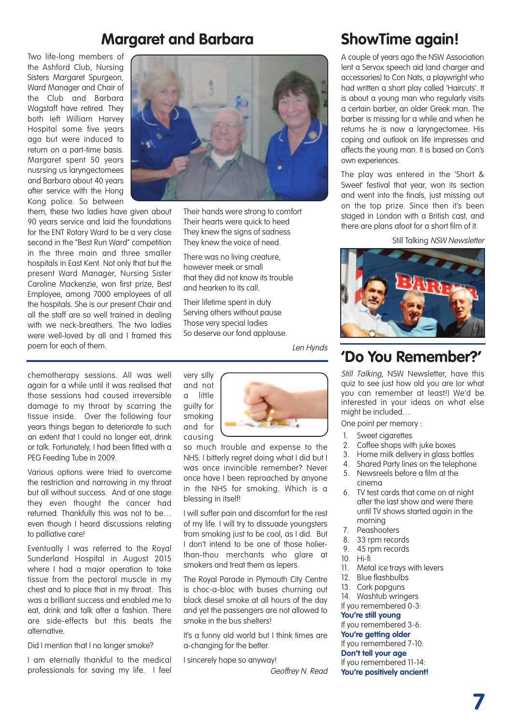### **Margaret and Barbara**

Two life-long members of the Ashford Club, Nursing Sisters Margaret Spurgeon, Ward Manager and Chair of the Club and Barbara Wagstaff have retired. They both left William Harvey Hospital some five years ago but were induced to return on a part-time basis. Margaret spent 50 years nusrsing us laryngectomees and Barbara about 40 years after service with the Hong Kong police. So between

them, these two ladies have given about 90 years service and laid the foundations for the ENT Rotary Ward to be a very close second in the "Best Run Ward" competition in the three main and three smaller hospitals in East Kent. Not only that but the present Ward Manager, Nursing Sister Caroline Mackenzie, won first prize, Best Employee, among 7000 employees of all the hospitals. She is our present Chair and all the staff are so well trained in dealing with we neck-breathers. The two ladies were well-loved by all and I framed this poem for each of them.

chemotherapy sessions. All was well again for a while until it was realised that those sessions had caused irreversible damage to my throat by scarring the tissue inside. Over the following four years things began to deteriorate to such an extent that I could no longer eat, drink or talk. Fortunately, I had been fitted with a PEG Feeding Tube in 2009.

Various options were tried to overcome the restriction and narrowing in my throat but all without success. And at one stage they even thought the cancer had returned. Thankfully this was not to be… even though I heard discussions relating to palliative care!

Eventually I was referred to the Royal Sunderland Hospital in August 2015 where I had a major operation to take tissue from the pectoral muscle in my chest and to place that in my throat. This was a brilliant success and enabled me to eat, drink and talk after a fashion. There are side-effects but this beats the alternative.

Did I mention that I no longer smoke?

I am eternally thankful to the medical professionals for saving my life. I feel



Their hands were strong to comfort Their hearts were quick to heed They knew the signs of sadness They knew the voice of need.

There was no living creature, however meek or small that they did not know its trouble and hearken to its call.

Their lifetime spent in duty Serving others without pause Those very special ladies So deserve our fond applause.

Len Hynds

very silly and not a little guilty for smoking and for causing



so much trouble and expense to the NHS. I bitterly regret doing what I did but I was once invincible remember? Never once have I been reproached by anyone in the NHS for smoking. Which is a blessing in itself!

I will suffer pain and discomfort for the rest of my life. I will try to dissuade youngsters from smoking just to be cool, as I did. But I don't intend to be one of those holierthan-thou merchants who glare at smokers and treat them as lepers.

The Royal Parade in Plymouth City Centre is choc-a-bloc with buses churning out black diesel smoke at all hours of the day and yet the passengers are not allowed to smoke in the bus shelters!

It's a funny old world but I think times are a-changing for the better.

I sincerely hope so anyway!

Geoffrey N. Read

### **ShowTime again!**

A couple of years ago the NSW Association lent a Servox speech aid (and charger and accessories) to Con Nats, a playwright who had written a short play called 'Haircuts'. It is about a young man who regularly visits a certain barber, an older Greek man. The barber is missing for a while and when he returns he is now a laryngectomee. His coping and outlook on life impresses and affects the young man. It is based on Con's own experiences.

The play was entered in the 'Short & Sweet' festival that year, won its section and went into the finals, just missing out on the top prize. Since then it's been staged in London with a British cast, and there are plans afoot for a short film of it.

Still Talking NSW Newsletter



### **'Do You Remember?'**

Still Talking, NSW Newsletter, have this quiz to see just how old you are (or what you can remember at least!) We'd be interested in your ideas on what else might be included…

One point per memory :

- 1. Sweet cigarettes
- 2. Coffee shops with juke boxes
- 
- 3. Home milk delivery in glass bottles<br>4 Shared Party lines on the telephone Shared Party lines on the telephone
- 5. Newsreels before a film at the cinema
- 6. TV test cards that came on at night after the last show and were there until TV shows started again in the morning
- 7. Peashooters
- 8. 33 rpm records
- 9. 45 rpm records
- 10. Hi-fi
- 11. Metal ice trays with levers
- 12. Blue flashbulbs
- 13. Cork popguns
- 14. Washtub wringers
- If you remembered 0-3:

#### **You're still young**

If you remembered 3-6: **You're getting older**

If you remembered 7-10:

**Don't tell your age**

If you remembered 11-14: **You're positively ancient!**